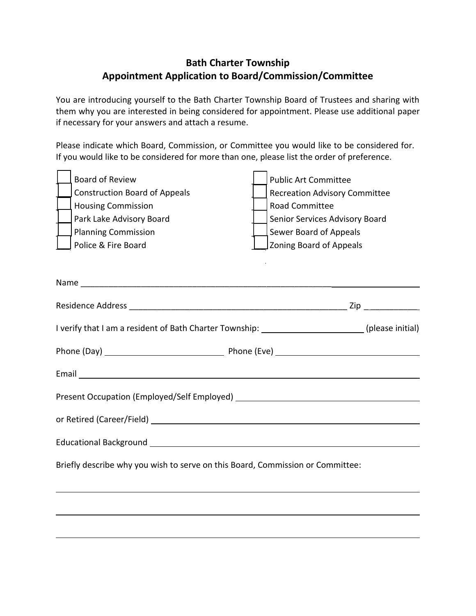## **Bath Charter Township Appointment Application to Board/Commission/Committee**

You are introducing yourself to the Bath Charter Township Board of Trustees and sharing with them why you are interested in being considered for appointment. Please use additional paper if necessary for your answers and attach a resume.

Please indicate which Board, Commission, or Committee you would like to be considered for. If you would like to be considered for more than one, please list the order of preference.

 $\overline{\phantom{0}}$ 

|                                                                                               | <b>Board of Review</b>               |  | <b>Public Art Committee</b>          |  |
|-----------------------------------------------------------------------------------------------|--------------------------------------|--|--------------------------------------|--|
|                                                                                               | <b>Construction Board of Appeals</b> |  | <b>Recreation Advisory Committee</b> |  |
|                                                                                               | <b>Housing Commission</b>            |  | <b>Road Committee</b>                |  |
|                                                                                               | Park Lake Advisory Board             |  | Senior Services Advisory Board       |  |
|                                                                                               | <b>Planning Commission</b>           |  | Sewer Board of Appeals               |  |
|                                                                                               | Police & Fire Board                  |  | Soning Board of Appeals              |  |
|                                                                                               |                                      |  |                                      |  |
|                                                                                               |                                      |  |                                      |  |
|                                                                                               |                                      |  |                                      |  |
|                                                                                               |                                      |  |                                      |  |
| I verify that I am a resident of Bath Charter Township: _____________________(please initial) |                                      |  |                                      |  |
|                                                                                               |                                      |  |                                      |  |
|                                                                                               |                                      |  |                                      |  |
|                                                                                               |                                      |  |                                      |  |
| or Retired (Career/Field) National Account of Retired Career/Field)                           |                                      |  |                                      |  |
|                                                                                               |                                      |  |                                      |  |
| Briefly describe why you wish to serve on this Board, Commission or Committee:                |                                      |  |                                      |  |